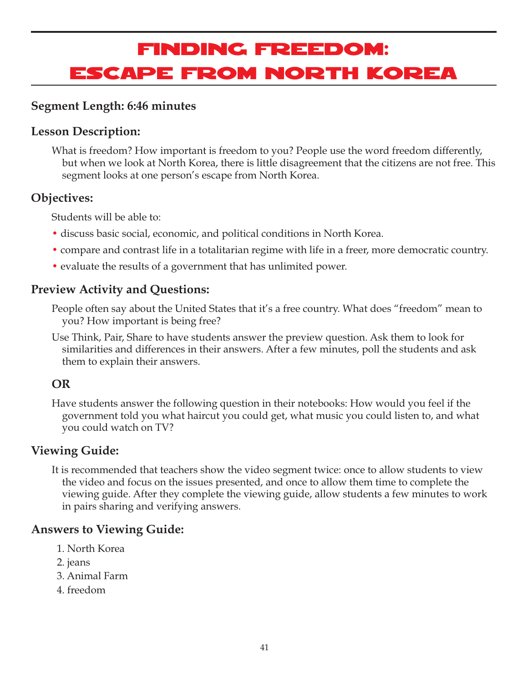# Finding Freedom: Escape from North Korea

### **Segment Length: 6:46 minutes**

### **Lesson Description:**

What is freedom? How important is freedom to you? People use the word freedom differently, but when we look at North Korea, there is little disagreement that the citizens are not free. This segment looks at one person's escape from North Korea.

### **Objectives:**

Students will be able to:

- discuss basic social, economic, and political conditions in North Korea.
- compare and contrast life in a totalitarian regime with life in a freer, more democratic country.
- evaluate the results of a government that has unlimited power.

### **Preview Activity and Questions:**

People often say about the United States that it's a free country. What does "freedom" mean to you? How important is being free?

Use Think, Pair, Share to have students answer the preview question. Ask them to look for similarities and differences in their answers. After a few minutes, poll the students and ask them to explain their answers.

### **OR**

Have students answer the following question in their notebooks: How would you feel if the government told you what haircut you could get, what music you could listen to, and what you could watch on TV?

### **Viewing Guide:**

It is recommended that teachers show the video segment twice: once to allow students to view the video and focus on the issues presented, and once to allow them time to complete the viewing guide. After they complete the viewing guide, allow students a few minutes to work in pairs sharing and verifying answers.

### **Answers to Viewing Guide:**

- 1. North Korea
- 2. jeans
- 3. Animal Farm
- 4. freedom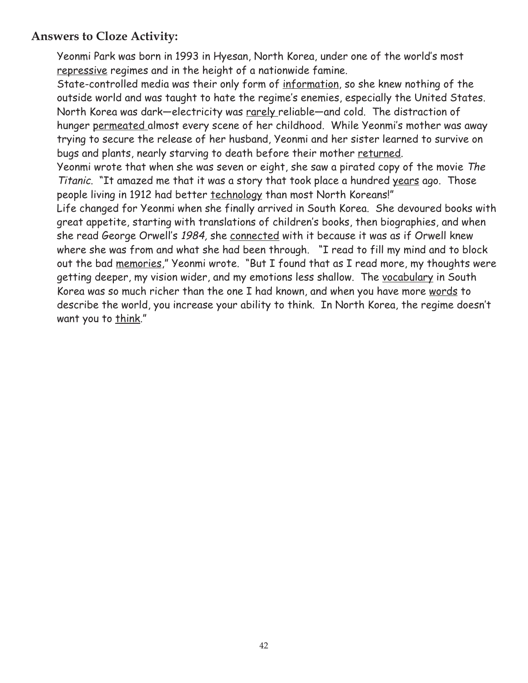### **Answers to Cloze Activity:**

Yeonmi Park was born in 1993 in Hyesan, North Korea, under one of the world's most repressive regimes and in the height of a nationwide famine.

State-controlled media was their only form of information, so she knew nothing of the outside world and was taught to hate the regime's enemies, especially the United States. North Korea was dark—electricity was rarely reliable—and cold. The distraction of hunger permeated almost every scene of her childhood. While Yeonmi's mother was away trying to secure the release of her husband, Yeonmi and her sister learned to survive on bugs and plants, nearly starving to death before their mother returned.

Yeonmi wrote that when she was seven or eight, she saw a pirated copy of the movie The Titanic. "It amazed me that it was a story that took place a hundred years ago. Those people living in 1912 had better technology than most North Koreans!"

Life changed for Yeonmi when she finally arrived in South Korea. She devoured books with great appetite, starting with translations of children's books, then biographies, and when she read George Orwell's 1984, she connected with it because it was as if Orwell knew where she was from and what she had been through. "I read to fill my mind and to block out the bad memories," Yeonmi wrote. "But I found that as I read more, my thoughts were getting deeper, my vision wider, and my emotions less shallow. The vocabulary in South Korea was so much richer than the one I had known, and when you have more words to describe the world, you increase your ability to think. In North Korea, the regime doesn't want you to think."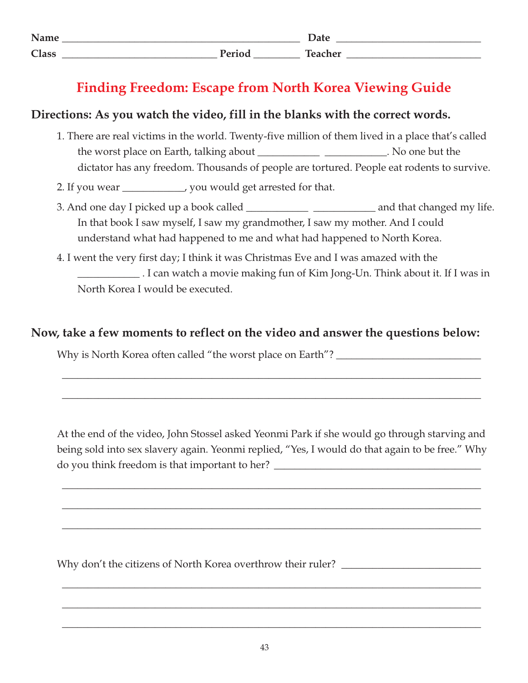| Name         |              | $\mathbf{L}$<br>Dalt |
|--------------|--------------|----------------------|
| <b>Class</b> | $\mathbf{D}$ | m.<br>hachor         |

# **Finding Freedom: Escape from North Korea Viewing Guide**

### **Directions: As you watch the video, fill in the blanks with the correct words.**

- 1. There are real victims in the world. Twenty-five million of them lived in a place that's called the worst place on Earth, talking about \_\_\_\_\_\_\_\_\_\_\_\_\_\_\_\_\_\_\_\_\_\_\_. No one but the dictator has any freedom. Thousands of people are tortured. People eat rodents to survive.
- 2. If you wear \_\_\_\_\_\_\_\_\_\_, you would get arrested for that.
- 3. And one day I picked up a book called \_\_\_\_\_\_\_\_\_\_\_\_ \_\_\_\_\_\_\_\_\_\_\_\_ and that changed my life. In that book I saw myself, I saw my grandmother, I saw my mother. And I could understand what had happened to me and what had happened to North Korea.
- 4. I went the very first day; I think it was Christmas Eve and I was amazed with the \_\_\_\_\_\_\_\_\_\_\_\_ . I can watch a movie making fun of Kim Jong-Un. Think about it. If I was in North Korea I would be executed.

### **Now, take a few moments to reflect on the video and answer the questions below:**

Why is North Korea often called "the worst place on Earth"? \_\_\_\_\_\_\_\_\_\_\_\_\_\_\_\_\_\_\_\_\_

At the end of the video, John Stossel asked Yeonmi Park if she would go through starving and being sold into sex slavery again. Yeonmi replied, "Yes, I would do that again to be free." Why do you think freedom is that important to her?

\_\_\_\_\_\_\_\_\_\_\_\_\_\_\_\_\_\_\_\_\_\_\_\_\_\_\_\_\_\_\_\_\_\_\_\_\_\_\_\_\_\_\_\_\_\_\_\_\_\_\_\_\_\_\_\_\_\_\_\_\_\_\_\_\_\_\_\_\_\_\_\_\_\_\_\_\_\_\_\_\_

\_\_\_\_\_\_\_\_\_\_\_\_\_\_\_\_\_\_\_\_\_\_\_\_\_\_\_\_\_\_\_\_\_\_\_\_\_\_\_\_\_\_\_\_\_\_\_\_\_\_\_\_\_\_\_\_\_\_\_\_\_\_\_\_\_\_\_\_\_\_\_\_\_\_\_\_\_\_\_\_\_

\_\_\_\_\_\_\_\_\_\_\_\_\_\_\_\_\_\_\_\_\_\_\_\_\_\_\_\_\_\_\_\_\_\_\_\_\_\_\_\_\_\_\_\_\_\_\_\_\_\_\_\_\_\_\_\_\_\_\_\_\_\_\_\_\_\_\_\_\_\_\_\_\_\_\_\_\_\_\_\_\_

\_\_\_\_\_\_\_\_\_\_\_\_\_\_\_\_\_\_\_\_\_\_\_\_\_\_\_\_\_\_\_\_\_\_\_\_\_\_\_\_\_\_\_\_\_\_\_\_\_\_\_\_\_\_\_\_\_\_\_\_\_\_\_\_\_\_\_\_\_\_\_\_\_\_\_\_\_\_\_\_\_

\_\_\_\_\_\_\_\_\_\_\_\_\_\_\_\_\_\_\_\_\_\_\_\_\_\_\_\_\_\_\_\_\_\_\_\_\_\_\_\_\_\_\_\_\_\_\_\_\_\_\_\_\_\_\_\_\_\_\_\_\_\_\_\_\_\_\_\_\_\_\_\_\_\_\_\_\_\_\_\_\_

\_\_\_\_\_\_\_\_\_\_\_\_\_\_\_\_\_\_\_\_\_\_\_\_\_\_\_\_\_\_\_\_\_\_\_\_\_\_\_\_\_\_\_\_\_\_\_\_\_\_\_\_\_\_\_\_\_\_\_\_\_\_\_\_\_\_\_\_\_\_\_\_\_\_\_\_\_\_\_\_\_

\_\_\_\_\_\_\_\_\_\_\_\_\_\_\_\_\_\_\_\_\_\_\_\_\_\_\_\_\_\_\_\_\_\_\_\_\_\_\_\_\_\_\_\_\_\_\_\_\_\_\_\_\_\_\_\_\_\_\_\_\_\_\_\_\_\_\_\_\_\_\_\_\_\_\_\_\_\_\_\_\_

\_\_\_\_\_\_\_\_\_\_\_\_\_\_\_\_\_\_\_\_\_\_\_\_\_\_\_\_\_\_\_\_\_\_\_\_\_\_\_\_\_\_\_\_\_\_\_\_\_\_\_\_\_\_\_\_\_\_\_\_\_\_\_\_\_\_\_\_\_\_\_\_\_\_\_\_\_\_\_\_\_

Why don't the citizens of North Korea overthrow their ruler? \_\_\_\_\_\_\_\_\_\_\_\_\_\_\_\_\_\_\_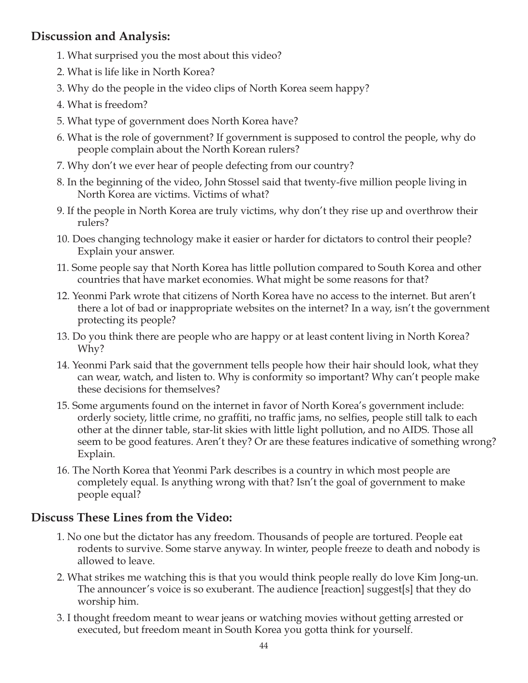### **Discussion and Analysis:**

- 1. What surprised you the most about this video?
- 2. What is life like in North Korea?
- 3. Why do the people in the video clips of North Korea seem happy?
- 4. What is freedom?
- 5. What type of government does North Korea have?
- 6. What is the role of government? If government is supposed to control the people, why do people complain about the North Korean rulers?
- 7. Why don't we ever hear of people defecting from our country?
- 8. In the beginning of the video, John Stossel said that twenty-five million people living in North Korea are victims. Victims of what?
- 9. If the people in North Korea are truly victims, why don't they rise up and overthrow their rulers?
- 10. Does changing technology make it easier or harder for dictators to control their people? Explain your answer.
- 11. Some people say that North Korea has little pollution compared to South Korea and other countries that have market economies. What might be some reasons for that?
- 12. Yeonmi Park wrote that citizens of North Korea have no access to the internet. But aren't there a lot of bad or inappropriate websites on the internet? In a way, isn't the government protecting its people?
- 13. Do you think there are people who are happy or at least content living in North Korea? Why?
- 14. Yeonmi Park said that the government tells people how their hair should look, what they can wear, watch, and listen to. Why is conformity so important? Why can't people make these decisions for themselves?
- 15. Some arguments found on the internet in favor of North Korea's government include: orderly society, little crime, no graffiti, no traffic jams, no selfies, people still talk to each other at the dinner table, star-lit skies with little light pollution, and no AIDS. Those all seem to be good features. Aren't they? Or are these features indicative of something wrong? Explain.
- 16. The North Korea that Yeonmi Park describes is a country in which most people are completely equal. Is anything wrong with that? Isn't the goal of government to make people equal?

### **Discuss These Lines from the Video:**

- 1. No one but the dictator has any freedom. Thousands of people are tortured. People eat rodents to survive. Some starve anyway. In winter, people freeze to death and nobody is allowed to leave.
- 2. What strikes me watching this is that you would think people really do love Kim Jong-un. The announcer's voice is so exuberant. The audience [reaction] suggest[s] that they do worship him.
- 3. I thought freedom meant to wear jeans or watching movies without getting arrested or executed, but freedom meant in South Korea you gotta think for yourself.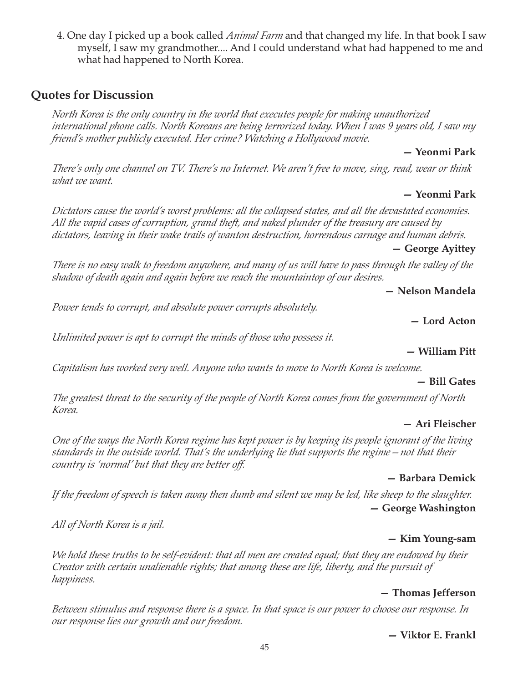4. One day I picked up a book called *Animal Farm* and that changed my life. In that book I saw myself, I saw my grandmother.... And I could understand what had happened to me and what had happened to North Korea.

### **Quotes for Discussion**

*North Korea is the only country in the world that executes people for making unauthorized international phone calls. North Koreans are being terrorized today. When I was 9 years old, I saw my friend's mother publicly executed. Her crime? Watching a Hollywood movie.*

#### **— Yeonmi Park**

*There's only one channel on TV. There's no Internet. We aren't free to move, sing, read, wear or think what we want.*

#### **— Yeonmi Park**

*Dictators cause the world's worst problems: all the collapsed states, and all the devastated economies. All the vapid cases of corruption, grand theft, and naked plunder of the treasury are caused by dictators, leaving in their wake trails of wanton destruction, horrendous carnage and human debris.*

#### **— George Ayittey**

*There is no easy walk to freedom anywhere, and many of us will have to pass through the valley of the shadow of death again and again before we reach the mountaintop of our desires.*

**— Nelson Mandela**

*Power tends to corrupt, and absolute power corrupts absolutely.*

**— Lord Acton**

*Unlimited power is apt to corrupt the minds of those who possess it.*

#### **— William Pitt**

*Capitalism has worked very well. Anyone who wants to move to North Korea is welcome.*

#### **— Bill Gates**

*The greatest threat to the security of the people of North Korea comes from the government of North Korea.*

#### **— Ari Fleischer**

*One of the ways the North Korea regime has kept power is by keeping its people ignorant of the living standards in the outside world. That's the underlying lie that supports the regime—not that their country is 'normal' but that they are better off.*

#### **— Barbara Demick**

*If the freedom of speech is taken away then dumb and silent we may be led, like sheep to the slaughter.* **— George Washington**

*All of North Korea is a jail.*

#### **— Kim Young-sam**

*We hold these truths to be self-evident: that all men are created equal; that they are endowed by their Creator with certain unalienable rights; that among these are life, liberty, and the pursuit of happiness.*

### **— Thomas Jefferson**

*Between stimulus and response there is a space. In that space is our power to choose our response. In our response lies our growth and our freedom.*

#### **— Viktor E. Frankl**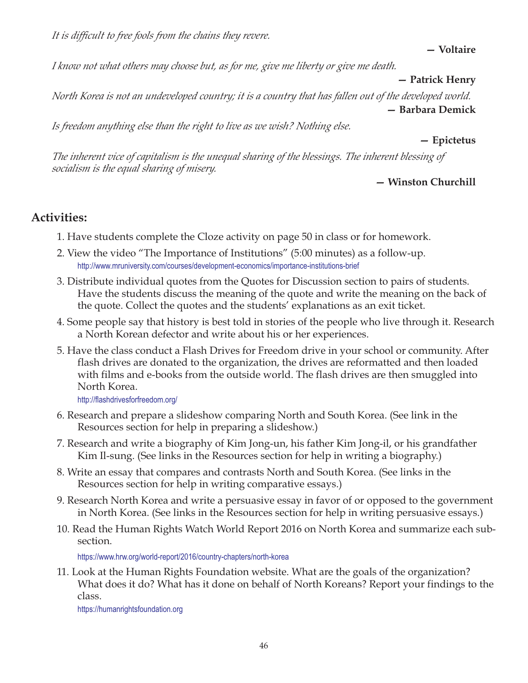*It is difficult to free fools from the chains they revere.*

**— Voltaire**

*I know not what others may choose but, as for me, give me liberty or give me death.*

#### **— Patrick Henry**

*North Korea is not an undeveloped country; it is a country that has fallen out of the developed world.* **— Barbara Demick**

*Is freedom anything else than the right to live as we wish? Nothing else.*

#### **— Epictetus**

*The inherent vice of capitalism is the unequal sharing of the blessings. The inherent blessing of socialism is the equal sharing of misery.*

### **— Winston Churchill**

### **Activities:**

- 1. Have students complete the Cloze activity on page 50 in class or for homework.
- 2. View the video "The Importance of Institutions" (5:00 minutes) as a follow-up. http://www.mruniversity.com/courses/development-economics/importance-institutions-brief
- 3. Distribute individual quotes from the Quotes for Discussion section to pairs of students. Have the students discuss the meaning of the quote and write the meaning on the back of the quote. Collect the quotes and the students' explanations as an exit ticket.
- 4. Some people say that history is best told in stories of the people who live through it. Research a North Korean defector and write about his or her experiences.
- 5. Have the class conduct a Flash Drives for Freedom drive in your school or community. After flash drives are donated to the organization, the drives are reformatted and then loaded with films and e-books from the outside world. The flash drives are then smuggled into North Korea.

http://flashdrivesforfreedom.org/

- 6. Research and prepare a slideshow comparing North and South Korea. (See link in the Resources section for help in preparing a slideshow.)
- 7. Research and write a biography of Kim Jong-un, his father Kim Jong-il, or his grandfather Kim Il-sung. (See links in the Resources section for help in writing a biography.)
- 8. Write an essay that compares and contrasts North and South Korea. (See links in the Resources section for help in writing comparative essays.)
- 9. Research North Korea and write a persuasive essay in favor of or opposed to the government in North Korea. (See links in the Resources section for help in writing persuasive essays.)
- 10. Read the Human Rights Watch World Report 2016 on North Korea and summarize each subsection.

https://www.hrw.org/world-report/2016/country-chapters/north-korea

11. Look at the Human Rights Foundation website. What are the goals of the organization? What does it do? What has it done on behalf of North Koreans? Report your findings to the class.

https://humanrightsfoundation.org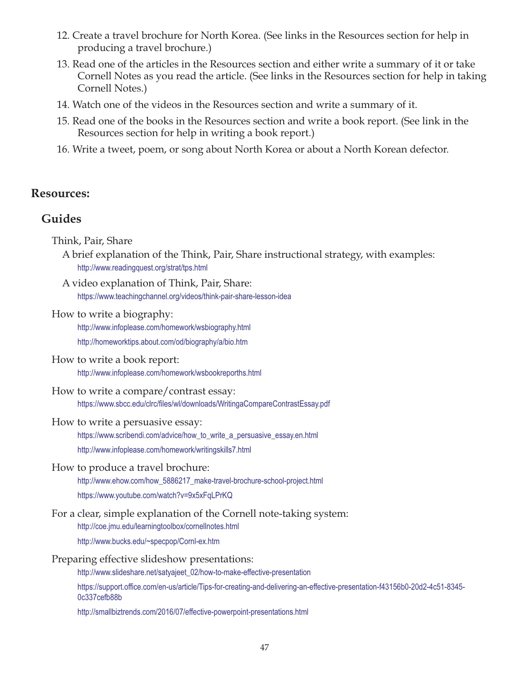- 12. Create a travel brochure for North Korea. (See links in the Resources section for help in producing a travel brochure.)
- 13. Read one of the articles in the Resources section and either write a summary of it or take Cornell Notes as you read the article. (See links in the Resources section for help in taking Cornell Notes.)
- 14. Watch one of the videos in the Resources section and write a summary of it.
- 15. Read one of the books in the Resources section and write a book report. (See link in the Resources section for help in writing a book report.)
- 16. Write a tweet, poem, or song about North Korea or about a North Korean defector.

### **Resources:**

### **Guides**

Think, Pair, Share

- A brief explanation of the Think, Pair, Share instructional strategy, with examples: http://www.readingquest.org/strat/tps.html
- A video explanation of Think, Pair, Share: https://www.teachingchannel.org/videos/think-pair-share-lesson-idea

#### How to write a biography:

http://www.infoplease.com/homework/wsbiography.html http://homeworktips.about.com/od/biography/a/bio.htm

- How to write a book report: http://www.infoplease.com/homework/wsbookreporths.html
- How to write a compare/contrast essay: https://www.sbcc.edu/clrc/files/wl/downloads/WritingaCompareContrastEssay.pdf

#### How to write a persuasive essay:

https://www.scribendi.com/advice/how\_to\_write\_a\_persuasive\_essay.en.html http://www.infoplease.com/homework/writingskills7.html

#### How to produce a travel brochure:

http://www.ehow.com/how\_5886217\_make-travel-brochure-school-project.html https://www.youtube.com/watch?v=9x5xFqLPrKQ

#### For a clear, simple explanation of the Cornell note-taking system:

http://coe.jmu.edu/learningtoolbox/cornellnotes.html

http://www.bucks.edu/~specpop/Cornl-ex.htm

#### Preparing effective slideshow presentations:

http://www.slideshare.net/satyajeet\_02/how-to-make-effective-presentation

https://support.office.com/en-us/article/Tips-for-creating-and-delivering-an-effective-presentation-f43156b0-20d2-4c51-8345- 0c337cefb88b

http://smallbiztrends.com/2016/07/effective-powerpoint-presentations.html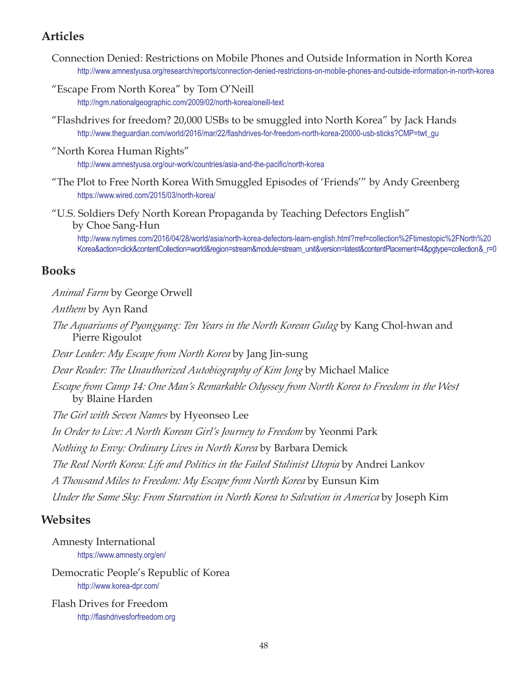### **Articles**

- Connection Denied: Restrictions on Mobile Phones and Outside Information in North Korea http://www.amnestyusa.org/research/reports/connection-denied-restrictions-on-mobile-phones-and-outside-information-in-north-korea
- "Escape From North Korea" by Tom O'Neill http://ngm.nationalgeographic.com/2009/02/north-korea/oneill-text
- "Flashdrives for freedom? 20,000 USBs to be smuggled into North Korea" by Jack Hands http://www.theguardian.com/world/2016/mar/22/flashdrives-for-freedom-north-korea-20000-usb-sticks?CMP=twt\_gu
- "North Korea Human Rights"

http://www.amnestyusa.org/our-work/countries/asia-and-the-pacific/north-korea

- "The Plot to Free North Korea With Smuggled Episodes of 'Friends'" by Andy Greenberg https://www.wired.com/2015/03/north-korea/
- "U.S. Soldiers Defy North Korean Propaganda by Teaching Defectors English" by Choe Sang-Hun

http://www.nytimes.com/2016/04/28/world/asia/north-korea-defectors-learn-english.html?rref=collection%2Ftimestopic%2FNorth%20 [Korea&action=click&contentCollection=world&region=stream&module=stream\\_unit&version=latest&contentPlacement=4&pgtype=collection&\\_r=0](http://www.nytimes.com/2016/04/28/world/asia/north-korea-defectors-learn-english.html?rref=collection%2Ftimestopic%2FNorth%20Korea&action=click&contentCollection=world®ion=stream&module=stream_unit&version=latest&contentPlacement=4&pgtype=collection&_r=0)

### **Books**

#### *Animal Farm* by George Orwell

*Anthem* by Ayn Rand

*The Aquariums of Pyongyang: Ten Years in the North Korean Gulag* by Kang Chol-hwan and Pierre Rigoulot

*Dear Leader: My Escape from North Korea* by Jang Jin-sung

*Dear Reader: The Unauthorized Autobiography of Kim Jong* by Michael Malice

*Escape from Camp 14: One Man's Remarkable Odyssey from North Korea to Freedom in the West* by Blaine Harden

*The Girl with Seven Names* by Hyeonseo Lee

*In Order to Live: A North Korean Girl's Journey to Freedom* by Yeonmi Park

*Nothing to Envy: Ordinary Lives in North Korea* by Barbara Demick

*The Real North Korea: Life and Politics in the Failed Stalinist Utopia* by Andrei Lankov

*A Thousand Miles to Freedom: My Escape from North Korea* by Eunsun Kim

*Under the Same Sky: From Starvation in North Korea to Salvation in America* by Joseph Kim

### **Websites**

Amnesty International https://www.amnesty.org/en/

Democratic People's Republic of Korea http://www.korea-dpr.com/

Flash Drives for Freedom http://flashdrivesforfreedom.org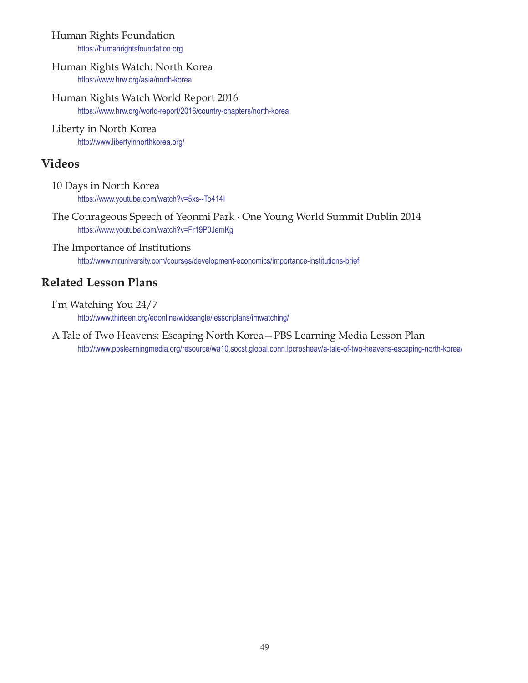### Human Rights Foundation

https://humanrightsfoundation.org

#### Human Rights Watch: North Korea https://www.hrw.org/asia/north-korea

Human Rights Watch World Report 2016 https://www.hrw.org/world-report/2016/country-chapters/north-korea

#### Liberty in North Korea http://www.libertyinnorthkorea.org/

### **Videos**

- 10 Days in North Korea https://www.youtube.com/watch?v=5xs--To414I
- The Courageous Speech of Yeonmi Park · One Young World Summit Dublin 2014 https://www.youtube.com/watch?v=Fr19P0JemKg

The Importance of Institutions http://www.mruniversity.com/courses/development-economics/importance-institutions-brief

# **Related Lesson Plans**

- I'm Watching You 24/7 http://www.thirteen.org/edonline/wideangle/lessonplans/imwatching/
- A Tale of Two Heavens: Escaping North Korea—PBS Learning Media Lesson Plan http://www.pbslearningmedia.org/resource/wa10.socst.global.conn.lpcrosheav/a-tale-of-two-heavens-escaping-north-korea/